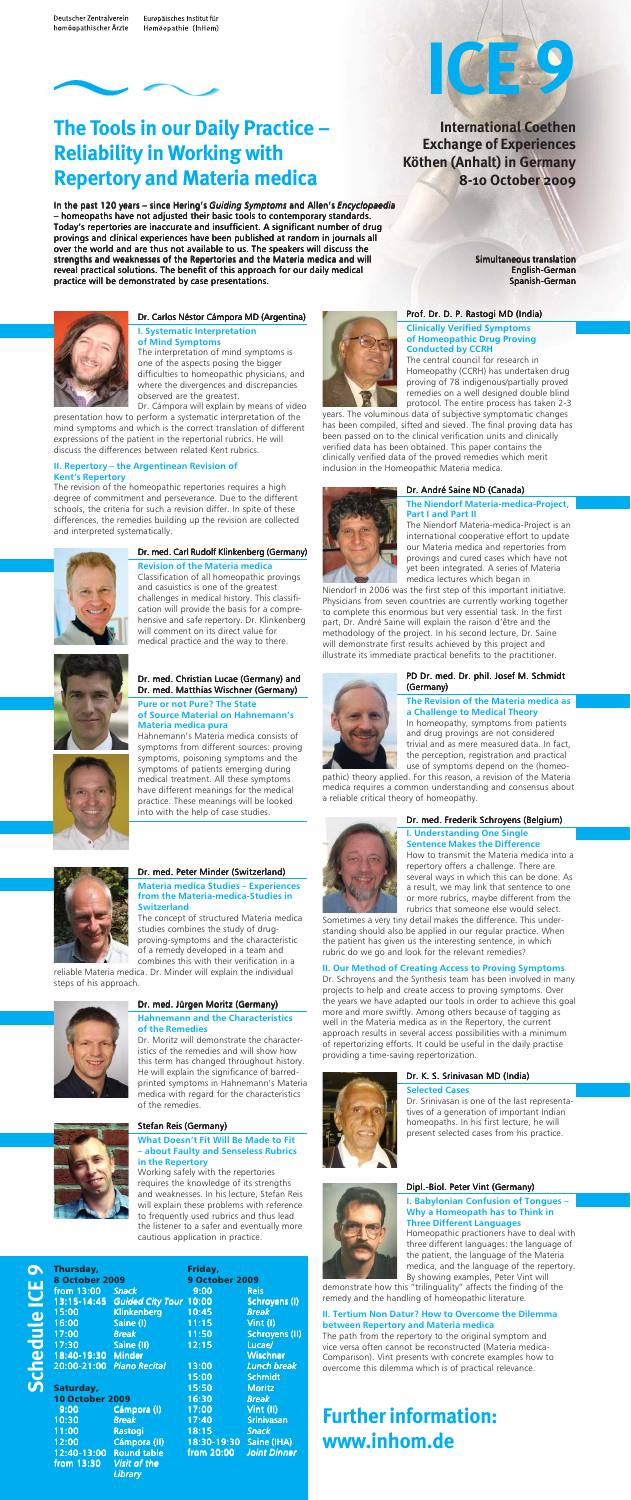**International Coethen Exchange of Experiences Köthen (Anhalt) in Germany 8-10 October 2009**



## **The Tools in our Daily Practice – Reliability in Working with Repertory and Materia medica**

In the past 120 years – since Hering's *Guiding Symptoms* and Allen's *Encyclopaedia* – homeopaths have not adjusted their basic tools to contemporary standards. Today's repertories are inaccurate and insufficient. A significant number of drug provings and clinical experiences have been published at random in journals all over the world and are thus not available to us. The speakers will discuss the strengths and weaknesses of the Repertories and the Materia medica and will reveal practical solutions. The benefit of this approach for our daily medical practice will be demonstrated by case presentations.



Simultaneous translation English-German Spanish-German



### Dr. Carlos Néstor Cámpora MD (Argentina)

**I. Systematic Interpretation of Mind Symptoms**

The interpretation of mind symptoms is one of the aspects posing the bigger difficulties to homeopathic physicians, and where the divergences and discrepancies observed are the greatest.

Dr. Cámpora will explain by means of video presentation how to perform a systematic interpretation of the mind symptoms and which is the correct translation of different expressions of the patient in the repertorial rubrics. He will discuss the differences between related Kent rubrics.

### **II. Repertory – the Argentinean Revision of Kent's Repertory**

The revision of the homeopathic repertories requires a high degree of commitment and perseverance. Due to the different schools, the criteria for such a revision differ. In spite of these differences, the remedies building up the revision are collected and interpreted systematically.



### Dr. med. Carl Rudolf Klinkenberg (Germany)

**Revision of the Materia medica**

Classification of all homeopathic provings and casuistics is one of the greatest challenges in medical history. This classification will provide the basis for a comprehensive and safe repertory. Dr. Klinkenberg will comment on its direct value for medical practice and the way to there.



### Dr. med. Christian Lucae (Germany) and Dr. med. Matthias Wischner (Germany) **Pure or not Pure? The State of Source Material on Hahnemann's**

**Materia medica pura** Hahnemann's Materia medica consists of symptoms from different sources: proving symptoms, poisoning symptoms and the symptoms of patients emerging during medical treatment. All these symptoms have different meanings for the medical practice. These meanings will be looked into with the help of case studies.



### Dr. med. Peter Minder (Switzerland) **Materia medica Studies – Experiences from the Materia-medica-Studies in Switzerland**

The concept of structured Materia medica studies combines the study of drugproving-symptoms and the characteristic of a remedy developed in a team and combines this with their verification in a



reliable Materia medica. Dr. Minder will explain the individual steps of his approach.



### Dr. med. Jürgen Moritz (Germany)

**Hahnemann and the Characteristics of the Remedies**

Dr. Moritz will demonstrate the characteristics of the remedies and will show how this term has changed throughout history. He will explain the significance of barredprinted symptoms in Hahnemann's Materia medica with regard for the characteristics of the remedies.



### Stefan Reis (Germany)

### **What Doesn't Fit Will Be Made to Fit – about Faulty and Senseless Rubrics in the Repertory**

Working safely with the repertories requires the knowledge of its strengths and weaknesses. In his lecture, Stefan Reis will explain these problems with reference to frequently used rubrics and thus lead the listener to a safer and eventually more cautious application in practice.

## **Further information: www.inhom.de**

*Library*

### Prof. Dr. D. P. Rastogi MD (India) **Clinically Verified Symptoms of Homeopathic Drug Proving**

**Conducted by CCRH** The central council for research in Homeopathy (CCRH) has undertaken drug proving of 78 indigenous/partially proved remedies on a well designed double blind protocol. The entire process has taken 2-3

years. The voluminous data of subjective symptomatic changes has been compiled, sifted and sieved. The final proving data has been passed on to the clinical verification units and clinically verified data has been obtained. This paper contains the clinically verified data of the proved remedies which merit inclusion in the Homeopathic Materia medica.



### **The Niendorf Materia-medica-Project, Part I and Part II**

The Niendorf Materia-medica-Project is an international cooperative effort to update our Materia medica and repertories from provings and cured cases which have not yet been integrated. A series of Materia medica lectures which began in

Niendorf in 2006 was the first step of this important initiative. Physicians from seven countries are currently working together to complete this enormous but very essential task. In the first part, Dr. André Saine will explain the raison d'être and the methodology of the project. In his second lecture, Dr. Saine will demonstrate first results achieved by this project and illustrate its immediate practical benefits to the practitioner.



### PD Dr. med. Dr. phil. Josef M. Schmidt (Germany)

**The Revision of the Materia medica as a Challenge to Medical Theory**

In homeopathy, symptoms from patients and drug provings are not considered trivial and as mere measured data. In fact, the perception, registration and practical use of symptoms depend on the (homeo-

pathic) theory applied. For this reason, a revision of the Materia medica requires a common understanding and consensus about a reliable critical theory of homeopathy.



## Dr. med. Frederik Schroyens (Belgium)

#### Thursday, 8 October 2009 from 13:00 *Snack* 13:15-14:45 *Guided City Tour* 15:00 Klinkenberg 16:00 Saine (I) 17:00 *Break* 17:30 Saine (II) 18:40-19:30 Minder 20:00-21:00 *Piano Recital Piano Recital* Saturday, 10 October 2009 9:00 Cámpora (I) 10:30 *Break* 11:00 Rastogi Cámpora (II)<br>Round table 12:40-13:00 from 13:30 *Visit of the* **Schedule ICE 9**Friday, 9 October 2009 9:00 Reis Schroyens (I) 10:45 *Break* 11:15 Vint (I)<br>11:50 Schroy 11:50 Schroyens (II) 12:15 Lucae/ **Wischner** 13:00 *Lunch break* 15:00 Schmidt Moritz 16:30 *Break* 17:00 Vint (II)<br>17:40 Srinivas Srinivasan 18:15 *Snack* 18:30-19:30 Saine (IHA) from 20:00 *Joint Dinner*

**I. Understanding One Single Sentence Makes the Difference**

How to transmit the Materia medica into a repertory offers a challenge. There are several ways in which this can be done. As a result, we may link that sentence to one or more rubrics, maybe different from the rubrics that someone else would select.

Sometimes a very tiny detail makes the difference. This understanding should also be applied in our regular practice. When the patient has given us the interesting sentence, in which



rubric do we go and look for the relevant remedies?

### **II. Our Method of Creating Access to Proving Symptoms**

Dr. Schroyens and the Synthesis team has been involved in many projects to help and create access to proving symptoms. Over the years we have adapted our tools in order to achieve this goal more and more swiftly. Among others because of tagging as well in the Materia medica as in the Repertory, the current approach results in several access possibilities with a minimum of repertorizing efforts. It could be useful in the daily practise providing a time-saving repertorization.



### Dr. K. S. Srinivasan MD (India)

### **Selected Cases**

Dr. Srinivasan is one of the last representatives of a generation of important Indian homeopaths. In his first lecture, he will present selected cases from his practice.



### Dipl.-Biol. Peter Vint (Germany)

### **I. Babylonian Confusion of Tongues – Why a Homeopath has to Think in Three Different Languages**

Homeopathic practioners have to deal with three different languages: the language of the patient, the language of the Materia medica, and the language of the repertory. By showing examples, Peter Vint will

demonstrate how this "trilinguality" affects the finding of the remedy and the handling of homeopathic literature.

### **II. Tertium Non Datur? How to Overcome the Dilemma between Repertory and Materia medica**

The path from the repertory to the original symptom and vice versa often cannot be reconstructed (Materia medica-Comparison). Vint presents with concrete examples how to overcome this dilemma which is of practical relevance.